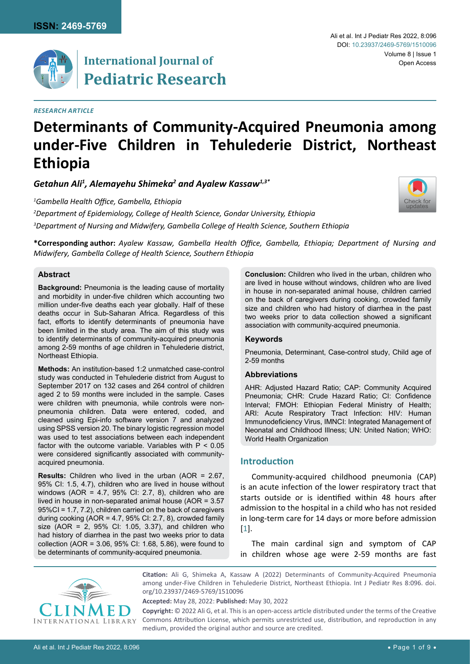

# **International Journal of Pediatric Research**

## *Research Article*

#### Ali et al. Int J Pediatr Res 2022, 8:096 Volume 8 | Issue 1 DOI: [10.23937/2469-5769/1510096](https://doi.org/10.23937/2469-5769/1510096) Open Access

# **Determinants of Community-Acquired Pneumonia among under-Five Children in Tehulederie District, Northeast Ethiopia**

*Getahun Ali1 , Alemayehu Shimeka2 and Ayalew Kassaw1,3\**

*1 Gambella Health Office, Gambella, Ethiopia*

*2 Department of Epidemiology, College of Health Science, Gondar University, Ethiopia 3 Department of Nursing and Midwifery, Gambella College of Health Science, Southern Ethiopia*



**\*Corresponding author:** *Ayalew Kassaw, Gambella Health Office, Gambella, Ethiopia; Department of Nursing and Midwifery, Gambella College of Health Science, Southern Ethiopia*

## **Abstract**

**Background:** Pneumonia is the leading cause of mortality and morbidity in under-five children which accounting two million under-five deaths each year globally. Half of these deaths occur in Sub-Saharan Africa. Regardless of this fact, efforts to identify determinants of pneumonia have been limited in the study area. The aim of this study was to identify determinants of community-acquired pneumonia among 2-59 months of age children in Tehulederie district, Northeast Ethiopia.

**Methods:** An institution-based 1:2 unmatched case-control study was conducted in Tehulederie district from August to September 2017 on 132 cases and 264 control of children aged 2 to 59 months were included in the sample. Cases were children with pneumonia, while controls were nonpneumonia children. Data were entered, coded, and cleaned using Epi-info software version 7 and analyzed using SPSS version 20. The binary logistic regression model was used to test associations between each independent factor with the outcome variable. Variables with  $P < 0.05$ were considered significantly associated with communityacquired pneumonia.

**Results:** Children who lived in the urban (AOR = 2.67, 95% CI: 1.5, 4.7), children who are lived in house without windows (AOR = 4.7, 95% CI: 2.7, 8), children who are lived in house in non-separated animal house (AOR = 3.57 95%CI = 1.7, 7.2), children carried on the back of caregivers during cooking (AOR = 4.7, 95% CI: 2.7, 8), crowded family size (AOR = 2, 95% CI: 1.05, 3.37), and children who had history of diarrhea in the past two weeks prior to data collection (AOR = 3.06, 95% CI: 1.68, 5.86), were found to be determinants of community-acquired pneumonia.

**Conclusion:** Children who lived in the urban, children who are lived in house without windows, children who are lived in house in non-separated animal house, children carried on the back of caregivers during cooking, crowded family size and children who had history of diarrhea in the past two weeks prior to data collection showed a significant association with community-acquired pneumonia.

## **Keywords**

Pneumonia, Determinant, Case-control study, Child age of 2-59 months

## **Abbreviations**

AHR: Adjusted Hazard Ratio; CAP: Community Acquired Pneumonia; CHR: Crude Hazard Ratio; CI: Confidence Interval; FMOH: Ethiopian Federal Ministry of Health; ARI: Acute Respiratory Tract Infection: HIV: Human Immunodeficiency Virus, IMNCI: Integrated Management of Neonatal and Childhood Illness; UN: United Nation; WHO: World Health Organization

# **Introduction**

Community-acquired childhood pneumonia (CAP) is an acute infection of the lower respiratory tract that starts outside or is identified within 48 hours after admission to the hospital in a child who has not resided in long-term care for 14 days or more before admission [\[1\]](#page-8-0).

The main cardinal sign and symptom of CAP in children whose age were 2-59 months are fast



**Citation:** Ali G, Shimeka A, Kassaw A (2022) Determinants of Community-Acquired Pneumonia among under-Five Children in Tehulederie District, Northeast Ethiopia. Int J Pediatr Res 8:096. [doi.](https://doi.org/10.23937/2469-5769/1510096) [org/10.23937/2469-5769/1510096](https://doi.org/10.23937/2469-5769/1510096)

**Accepted:** May 28, 2022: **Published:** May 30, 2022

**Copyright:** © 2022 Ali G, et al. This is an open-access article distributed under the terms of the Creative Commons Attribution License, which permits unrestricted use, distribution, and reproduction in any medium, provided the original author and source are credited.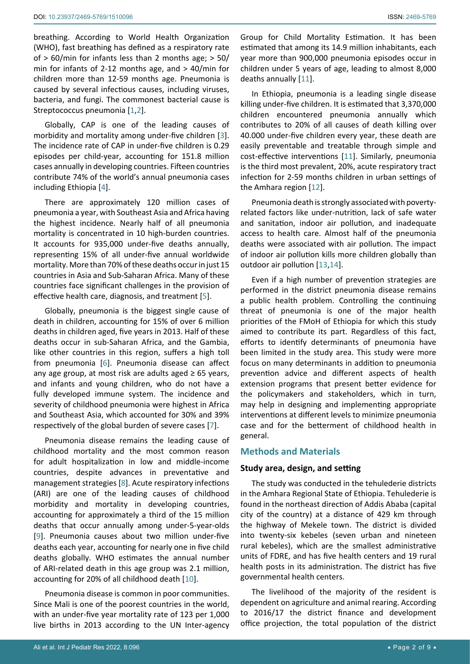breathing. According to World Health Organization (WHO), fast breathing has defined as a respiratory rate of > 60/min for infants less than 2 months age; > 50/ min for infants of 2-12 months age, and > 40/min for children more than 12-59 months age. Pneumonia is caused by several infectious causes, including viruses, bacteria, and fungi. The commonest bacterial cause is Streptococcus pneumonia [[1,](#page-8-0)[2\]](#page-8-5).

Globally, CAP is one of the leading causes of morbidity and mortality among under-five children [[3](#page-8-6)]. The incidence rate of CAP in under-five children is 0.29 episodes per child-year, accounting for 151.8 million cases annually in developing countries. Fifteen countries contribute 74% of the world's annual pneumonia cases including Ethiopia [\[4\]](#page-8-7).

There are approximately 120 million cases of pneumonia a year, with Southeast Asia and Africa having the highest incidence. Nearly half of all pneumonia mortality is concentrated in 10 high-burden countries. It accounts for 935,000 under-five deaths annually, representing 15% of all under-five annual worldwide mortality. More than 70% of these deaths occur in just 15 countries in Asia and Sub-Saharan Africa. Many of these countries face significant challenges in the provision of effective health care, diagnosis, and treatment [[5](#page-8-8)].

Globally, pneumonia is the biggest single cause of death in children, accounting for 15% of over 6 million deaths in children aged, five years in 2013. Half of these deaths occur in sub-Saharan Africa, and the Gambia, like other countries in this region, suffers a high toll from pneumonia [\[6](#page-8-9)]. Pneumonia disease can affect any age group, at most risk are adults aged  $\geq 65$  years, and infants and young children, who do not have a fully developed immune system. The incidence and severity of childhood pneumonia were highest in Africa and Southeast Asia, which accounted for 30% and 39% respectively of the global burden of severe cases [[7](#page-8-10)].

Pneumonia disease remains the leading cause of childhood mortality and the most common reason for adult hospitalization in low and middle-income countries, despite advances in preventative and management strategies [\[8](#page-8-11)]. Acute respiratory infections (ARI) are one of the leading causes of childhood morbidity and mortality in developing countries, accounting for approximately a third of the 15 million deaths that occur annually among under-5-year-olds [[9](#page-8-12)]. Pneumonia causes about two million under-five deaths each year, accounting for nearly one in five child deaths globally. WHO estimates the annual number of ARI-related death in this age group was 2.1 million, accounting for 20% of all childhood death [[10](#page-8-13)].

Pneumonia disease is common in poor communities. Since Mali is one of the poorest countries in the world, with an under-five year mortality rate of 123 per 1,000 live births in 2013 according to the UN Inter-agency

Group for Child Mortality Estimation. It has been estimated that among its 14.9 million inhabitants, each year more than 900,000 pneumonia episodes occur in children under 5 years of age, leading to almost 8,000 deaths annually [\[11](#page-8-1)].

In Ethiopia, pneumonia is a leading single disease killing under-five children. It is estimated that 3,370,000 children encountered pneumonia annually which contributes to 20% of all causes of death killing over 40.000 under-five children every year, these death are easily preventable and treatable through simple and cost-effective interventions [[11](#page-8-1)]. Similarly, pneumonia is the third most prevalent, 20%, acute respiratory tract infection for 2-59 months children in urban settings of the Amhara region [\[12\]](#page-8-2).

Pneumonia death is strongly associated with povertyrelated factors like under-nutrition, lack of safe water and sanitation, indoor air pollution, and inadequate access to health care. Almost half of the pneumonia deaths were associated with air pollution. The impact of indoor air pollution kills more children globally than outdoor air pollution [[13,](#page-8-3)[14\]](#page-8-4).

Even if a high number of prevention strategies are performed in the district pneumonia disease remains a public health problem. Controlling the continuing threat of pneumonia is one of the major health priorities of the FMoH of Ethiopia for which this study aimed to contribute its part. Regardless of this fact, efforts to identify determinants of pneumonia have been limited in the study area. This study were more focus on many determinants in addition to pneumonia prevention advice and different aspects of health extension programs that present better evidence for the policymakers and stakeholders, which in turn, may help in designing and implementing appropriate interventions at different levels to minimize pneumonia case and for the betterment of childhood health in general.

## **Methods and Materials**

#### **Study area, design, and setting**

The study was conducted in the tehulederie districts in the Amhara Regional State of Ethiopia. Tehulederie is found in the northeast direction of Addis Ababa (capital city of the country) at a distance of 429 km through the highway of Mekele town. The district is divided into twenty-six kebeles (seven urban and nineteen rural kebeles), which are the smallest administrative units of FDRE, and has five health centers and 19 rural health posts in its administration. The district has five governmental health centers.

The livelihood of the majority of the resident is dependent on agriculture and animal rearing. According to 2016/17 the district finance and development office projection, the total population of the district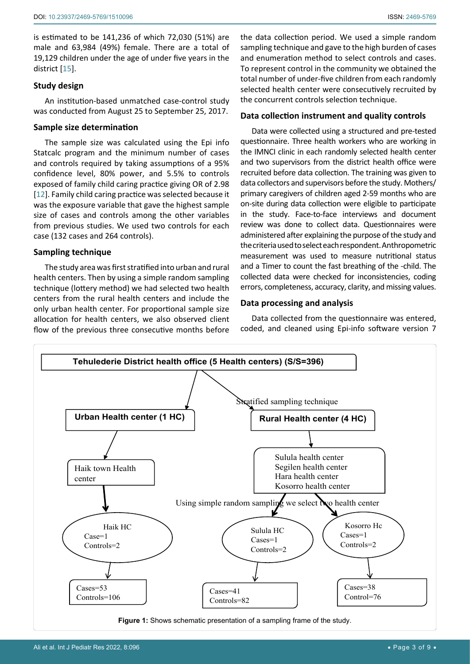is estimated to be 141,236 of which 72,030 (51%) are male and 63,984 (49%) female. There are a total of 19,129 children under the age of under five years in the district [\[15\]](#page-8-14).

# **Study design**

An institution-based unmatched case-control study was conducted from August 25 to September 25, 2017.

# **Sample size determination**

The sample size was calculated using the Epi info Statcalc program and the minimum number of cases and controls required by taking assumptions of a 95% confidence level, 80% power, and 5.5% to controls exposed of family child caring practice giving OR of 2.98 [[12](#page-8-2)]. Family child caring practice was selected because it was the exposure variable that gave the highest sample size of cases and controls among the other variables from previous studies. We used two controls for each case (132 cases and 264 controls).

# **Sampling technique**

The study area was first stratified into urban and rural health centers. Then by using a simple random sampling technique (lottery method) we had selected two health centers from the rural health centers and include the only urban health center. For proportional sample size allocation for health centers, we also observed client flow of the previous three consecutive months before

the data collection period. We used a simple random sampling technique and gave to the high burden of cases and enumeration method to select controls and cases. To represent control in the community we obtained the total number of under-five children from each randomly selected health center were consecutively recruited by the concurrent controls selection technique.

# **Data collection instrument and quality controls**

Data were collected using a structured and pre-tested questionnaire. Three health workers who are working in the IMNCI clinic in each randomly selected health center and two supervisors from the district health office were recruited before data collection. The training was given to data collectors and supervisors before the study. Mothers/ primary caregivers of children aged 2-59 months who are on-site during data collection were eligible to participate in the study. Face-to-face interviews and document review was done to collect data. Questionnaires were administered after explaining the purpose of the study and the criteria used to select each respondent. Anthropometric measurement was used to measure nutritional status and a Timer to count the fast breathing of the -child. The collected data were checked for inconsistencies, coding errors, completeness, accuracy, clarity, and missing values.

# **Data processing and analysis**

Data collected from the questionnaire was entered, coded, and cleaned using Epi-info software version 7



**Figure 1:** Shows schematic presentation of a sampling frame of the study.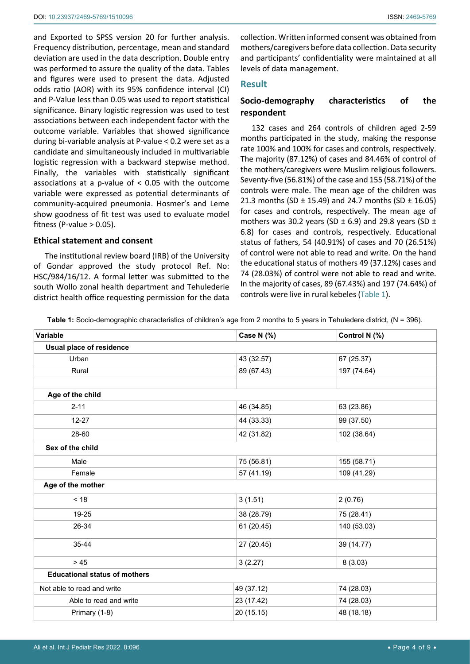and Exported to SPSS version 20 for further analysis. Frequency distribution, percentage, mean and standard deviation are used in the data description. Double entry was performed to assure the quality of the data. Tables and figures were used to present the data. Adjusted odds ratio (AOR) with its 95% confidence interval (CI) and P-Value less than 0.05 was used to report statistical significance. Binary logistic regression was used to test associations between each independent factor with the outcome variable. Variables that showed significance during bi-variable analysis at P-value < 0.2 were set as a candidate and simultaneously included in multivariable logistic regression with a backward stepwise method. Finally, the variables with statistically significant associations at a p-value of < 0.05 with the outcome variable were expressed as potential determinants of community-acquired pneumonia. Hosmer's and Leme show goodness of fit test was used to evaluate model fitness (P-value  $> 0.05$ ).

#### **Ethical statement and consent**

The institutional review board (IRB) of the University of Gondar approved the study protocol Ref. No: HSC/984/16/12. A formal letter was submitted to the south Wollo zonal health department and Tehulederie district health office requesting permission for the data

collection. Written informed consent was obtained from mothers/caregivers before data collection. Data security and participants' confidentiality were maintained at all levels of data management.

## **Result**

# **Socio-demography characteristics of the respondent**

132 cases and 264 controls of children aged 2-59 months participated in the study, making the response rate 100% and 100% for cases and controls, respectively. The majority (87.12%) of cases and 84.46% of control of the mothers/caregivers were Muslim religious followers. Seventy-five (56.81%) of the case and 155 (58.71%) of the controls were male. The mean age of the children was 21.3 months (SD  $\pm$  15.49) and 24.7 months (SD  $\pm$  16.05) for cases and controls, respectively. The mean age of mothers was 30.2 years (SD  $\pm$  6.9) and 29.8 years (SD  $\pm$ 6.8) for cases and controls, respectively. Educational status of fathers, 54 (40.91%) of cases and 70 (26.51%) of control were not able to read and write. On the hand the educational status of mothers 49 (37.12%) cases and 74 (28.03%) of control were not able to read and write. In the majority of cases, 89 (67.43%) and 197 (74.64%) of controls were live in rural kebeles [\(Table 1](#page-3-0)).

<span id="page-3-0"></span>**Table 1:** Socio-demographic characteristics of children's age from 2 months to 5 years in Tehuledere district, (N = 396).

| Variable                             | Case N (%) | Control N (%) |  |  |
|--------------------------------------|------------|---------------|--|--|
| Usual place of residence             |            |               |  |  |
| Urban                                | 43 (32.57) | 67 (25.37)    |  |  |
| Rural                                | 89 (67.43) | 197 (74.64)   |  |  |
|                                      |            |               |  |  |
| Age of the child                     |            |               |  |  |
| $2 - 11$                             | 46 (34.85) | 63 (23.86)    |  |  |
| $12 - 27$                            | 44 (33.33) | 99 (37.50)    |  |  |
| 28-60                                | 42 (31.82) | 102 (38.64)   |  |  |
| Sex of the child                     |            |               |  |  |
| Male                                 | 75 (56.81) | 155 (58.71)   |  |  |
| Female                               | 57 (41.19) | 109 (41.29)   |  |  |
| Age of the mother                    |            |               |  |  |
| < 18                                 | 3(1.51)    | 2(0.76)       |  |  |
| 19-25                                | 38 (28.79) | 75 (28.41)    |  |  |
| 26-34                                | 61 (20.45) | 140 (53.03)   |  |  |
| 35-44                                | 27 (20.45) | 39 (14.77)    |  |  |
| $>45$                                | 3(2.27)    | 8(3.03)       |  |  |
| <b>Educational status of mothers</b> |            |               |  |  |
| Not able to read and write           | 49 (37.12) | 74 (28.03)    |  |  |
| Able to read and write               | 23 (17.42) | 74 (28.03)    |  |  |
| Primary (1-8)                        | 20 (15.15) | 48 (18.18)    |  |  |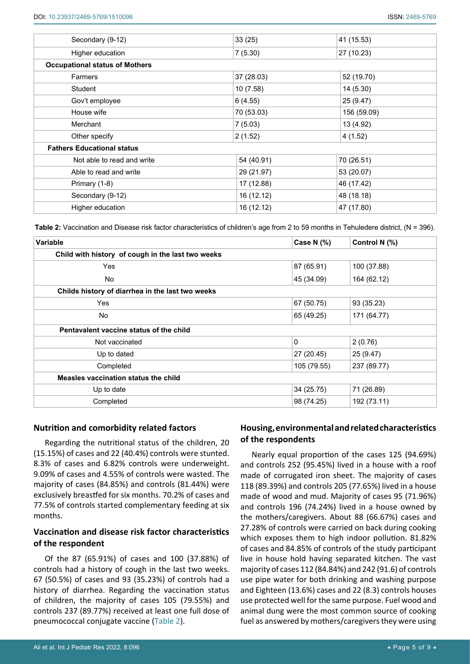| Secondary (9-12)                      | 33(25)     | 41 (15.53)  |  |  |  |
|---------------------------------------|------------|-------------|--|--|--|
| Higher education                      | 7(5.30)    | 27 (10.23)  |  |  |  |
| <b>Occupational status of Mothers</b> |            |             |  |  |  |
| Farmers                               | 37 (28.03) | 52 (19.70)  |  |  |  |
| Student                               | 10(7.58)   | 14(5.30)    |  |  |  |
| Gov't employee                        | 6(4.55)    | 25 (9.47)   |  |  |  |
| House wife                            | 70 (53.03) | 156 (59.09) |  |  |  |
| Merchant                              | 7(5.03)    | 13 (4.92)   |  |  |  |
| Other specify                         | 2(1.52)    | 4(1.52)     |  |  |  |
| <b>Fathers Educational status</b>     |            |             |  |  |  |
| Not able to read and write            | 54 (40.91) | 70 (26.51)  |  |  |  |
| Able to read and write                | 29 (21.97) | 53 (20.07)  |  |  |  |
| Primary (1-8)                         | 17 (12.88) | 46 (17.42)  |  |  |  |
| Secondary (9-12)                      | 16 (12.12) | 48 (18.18)  |  |  |  |
| Higher education                      | 16 (12.12) | 47 (17.80)  |  |  |  |
|                                       |            |             |  |  |  |

<span id="page-4-0"></span>**Table 2:** Vaccination and Disease risk factor characteristics of children's age from 2 to 59 months in Tehuledere district, (N = 396).

| Variable                                          | <b>Case N (%)</b> | Control N (%) |  |  |
|---------------------------------------------------|-------------------|---------------|--|--|
| Child with history of cough in the last two weeks |                   |               |  |  |
| <b>Yes</b>                                        | 87 (65.91)        | 100 (37.88)   |  |  |
| No.                                               | 45 (34.09)        | 164 (62.12)   |  |  |
| Childs history of diarrhea in the last two weeks  |                   |               |  |  |
| Yes                                               | 67 (50.75)        | 93 (35.23)    |  |  |
| No                                                | 65 (49.25)        | 171 (64.77)   |  |  |
| Pentavalent vaccine status of the child           |                   |               |  |  |
| Not vaccinated                                    | $\mathbf{0}$      | 2(0.76)       |  |  |
| Up to dated                                       | 27 (20.45)        | 25 (9.47)     |  |  |
| Completed                                         | 105 (79.55)       | 237 (89.77)   |  |  |
| Measles vaccination status the child              |                   |               |  |  |
| Up to date                                        | 34 (25.75)        | 71 (26.89)    |  |  |
| Completed                                         | 98 (74.25)        | 192 (73.11)   |  |  |

# **Nutrition and comorbidity related factors**

Regarding the nutritional status of the children, 20 (15.15%) of cases and 22 (40.4%) controls were stunted. 8.3% of cases and 6.82% controls were underweight. 9.09% of cases and 4.55% of controls were wasted. The majority of cases (84.85%) and controls (81.44%) were exclusively breastfed for six months. 70.2% of cases and 77.5% of controls started complementary feeding at six months.

# **Vaccination and disease risk factor characteristics of the respondent**

Of the 87 (65.91%) of cases and 100 (37.88%) of controls had a history of cough in the last two weeks. 67 (50.5%) of cases and 93 (35.23%) of controls had a history of diarrhea. Regarding the vaccination status of children, the majority of cases 105 (79.55%) and controls 237 (89.77%) received at least one full dose of pneumococcal conjugate vaccine ([Table 2](#page-4-0)).

# **Housing, environmental and related characteristics of the respondents**

Nearly equal proportion of the cases 125 (94.69%) and controls 252 (95.45%) lived in a house with a roof made of corrugated iron sheet. The majority of cases 118 (89.39%) and controls 205 (77.65%) lived in a house made of wood and mud. Majority of cases 95 (71.96%) and controls 196 (74.24%) lived in a house owned by the mothers/caregivers. About 88 (66.67%) cases and 27.28% of controls were carried on back during cooking which exposes them to high indoor pollution. 81.82% of cases and 84.85% of controls of the study participant live in house hold having separated kitchen. The vast majority of cases 112 (84.84%) and 242 (91.6) of controls use pipe water for both drinking and washing purpose and Eighteen (13.6%) cases and 22 (8.3) controls houses use protected well for the same purpose. Fuel wood and animal dung were the most common source of cooking fuel as answered by mothers/caregivers they were using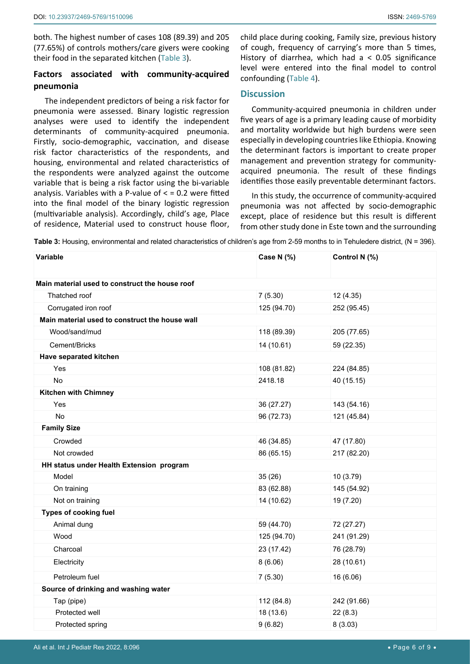both. The highest number of cases 108 (89.39) and 205 (77.65%) of controls mothers/care givers were cooking their food in the separated kitchen ([Table 3](#page-5-0)).

# **Factors associated with community-acquired pneumonia**

The independent predictors of being a risk factor for pneumonia were assessed. Binary logistic regression analyses were used to identify the independent determinants of community-acquired pneumonia. Firstly, socio-demographic, vaccination, and disease risk factor characteristics of the respondents, and housing, environmental and related characteristics of the respondents were analyzed against the outcome variable that is being a risk factor using the bi-variable analysis. Variables with a P-value of  $<$  = 0.2 were fitted into the final model of the binary logistic regression (multivariable analysis). Accordingly, child's age, Place of residence, Material used to construct house floor,

child place during cooking, Family size, previous history of cough, frequency of carrying's more than 5 times, History of diarrhea, which had a < 0.05 significance level were entered into the final model to control confounding ([Table 4](#page-6-0)).

# **Discussion**

Community-acquired pneumonia in children under five years of age is a primary leading cause of morbidity and mortality worldwide but high burdens were seen especially in developing countries like Ethiopia. Knowing the determinant factors is important to create proper management and prevention strategy for communityacquired pneumonia. The result of these findings identifies those easily preventable determinant factors.

In this study, the occurrence of community-acquired pneumonia was not affected by socio-demographic except, place of residence but this result is different from other study done in Este town and the surrounding

<span id="page-5-0"></span>**Table 3:** Housing, environmental and related characteristics of children's age from 2-59 months to in Tehuledere district, (N = 396).

| Variable                                       | Case N (%)  | Control N (%) |
|------------------------------------------------|-------------|---------------|
| Main material used to construct the house roof |             |               |
| Thatched roof                                  | 7(5.30)     | 12 (4.35)     |
| Corrugated iron roof                           | 125 (94.70) | 252 (95.45)   |
| Main material used to construct the house wall |             |               |
| Wood/sand/mud                                  | 118 (89.39) | 205 (77.65)   |
| Cement/Bricks                                  | 14 (10.61)  | 59 (22.35)    |
| Have separated kitchen                         |             |               |
| Yes                                            | 108 (81.82) | 224 (84.85)   |
| <b>No</b>                                      | 2418.18     | 40 (15.15)    |
| <b>Kitchen with Chimney</b>                    |             |               |
| Yes                                            | 36 (27.27)  | 143 (54.16)   |
| No                                             | 96 (72.73)  | 121 (45.84)   |
| <b>Family Size</b>                             |             |               |
| Crowded                                        | 46 (34.85)  | 47 (17.80)    |
| Not crowded                                    | 86 (65.15)  | 217 (82.20)   |
| HH status under Health Extension program       |             |               |
| Model                                          | 35(26)      | 10 (3.79)     |
| On training                                    | 83 (62.88)  | 145 (54.92)   |
| Not on training                                | 14 (10.62)  | 19 (7.20)     |
| Types of cooking fuel                          |             |               |
| Animal dung                                    | 59 (44.70)  | 72 (27.27)    |
| Wood                                           | 125 (94.70) | 241 (91.29)   |
| Charcoal                                       | 23 (17.42)  | 76 (28.79)    |
| Electricity                                    | 8(6.06)     | 28 (10.61)    |
| Petroleum fuel                                 | 7(5.30)     | 16 (6.06)     |
| Source of drinking and washing water           |             |               |
| Tap (pipe)                                     | 112 (84.8)  | 242 (91.66)   |
| Protected well                                 | 18 (13.6)   | 22(8.3)       |
| Protected spring                               | 9(6.82)     | 8(3.03)       |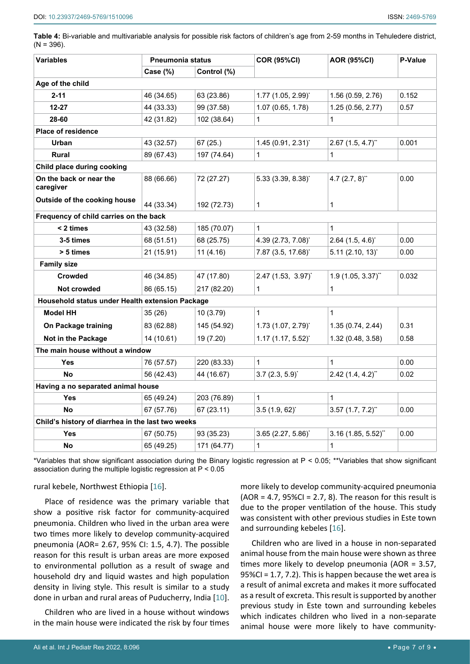<span id="page-6-0"></span>**Table 4:** Bi-variable and multivariable analysis for possible risk factors of children's age from 2-59 months in Tehuledere district,  $(N = 396)$ .

| <b>Variables</b>                                  | <b>Pneumonia status</b> |             | <b>COR (95%CI)</b>                  | <b>AOR (95%CI)</b>              | P-Value |
|---------------------------------------------------|-------------------------|-------------|-------------------------------------|---------------------------------|---------|
|                                                   | Case (%)                | Control (%) |                                     |                                 |         |
| Age of the child                                  |                         |             |                                     |                                 |         |
| $2 - 11$                                          | 46 (34.65)              | 63 (23.86)  | $1.77$ (1.05, 2.99) <sup>*</sup>    | 1.56 (0.59, 2.76)               | 0.152   |
| $12 - 27$                                         | 44 (33.33)              | 99 (37.58)  | 1.07 (0.65, 1.78)                   | 1.25 (0.56, 2.77)               | 0.57    |
| 28-60                                             | 42 (31.82)              | 102 (38.64) | $\mathbf{1}$                        | $\mathbf{1}$                    |         |
| <b>Place of residence</b>                         |                         |             |                                     |                                 |         |
| Urban                                             | 43 (32.57)              | 67(25.)     | $1.45(0.91, 2.31)^{*}$              | $2.67$ (1.5, 4.7) <sup>**</sup> | 0.001   |
| <b>Rural</b>                                      | 89 (67.43)              | 197 (74.64) | 1                                   | 1                               |         |
| Child place during cooking                        |                         |             |                                     |                                 |         |
| On the back or near the<br>caregiver              | 88 (66.66)              | 72 (27.27)  | $5.33(3.39, 8.38)^{*}$              | 4.7 $(2.7, 8)$ "                | 0.00    |
| Outside of the cooking house                      | 44 (33.34)              | 192 (72.73) | $\mathbf{1}$                        | $\mathbf{1}$                    |         |
| Frequency of child carries on the back            |                         |             |                                     |                                 |         |
| < 2 times                                         | 43 (32.58)              | 185 (70.07) | $\mathbf 1$                         | $\mathbf{1}$                    |         |
| 3-5 times                                         | 68 (51.51)              | 68 (25.75)  | 4.39 (2.73, 7.08)*                  | $2.64$ (1.5, 4.6) <sup>*</sup>  | 0.00    |
| > 5 times                                         | 21 (15.91)              | 11(4.16)    | 7.87 (3.5, 17.68)*                  | $5.11$ (2.10, 13) <sup>*</sup>  | 0.00    |
| <b>Family size</b>                                |                         |             |                                     |                                 |         |
| <b>Crowded</b>                                    | 46 (34.85)              | 47 (17.80)  | $2.47$ (1.53, 3.97) <sup>*</sup>    | $1.9(1.05, 3.37)$ **            | 0.032   |
| Not crowded                                       | 86 (65.15)              | 217 (82.20) | 1                                   | $\mathbf{1}$                    |         |
| Household status under Health extension Package   |                         |             |                                     |                                 |         |
| <b>Model HH</b>                                   | 35(26)                  | 10(3.79)    | 1                                   | $\mathbf{1}$                    |         |
| On Package training                               | 83 (62.88)              | 145 (54.92) | $1.73$ (1.07, 2.79) <sup>*</sup>    | 1.35(0.74, 2.44)                | 0.31    |
| Not in the Package                                | 14 (10.61)              | 19 (7.20)   | $1.17(1.17, 5.52)^{*}$              | 1.32 (0.48, 3.58)               | 0.58    |
| The main house without a window                   |                         |             |                                     |                                 |         |
| <b>Yes</b>                                        | 76 (57.57)              | 220 (83.33) | $\mathbf{1}$                        | $\mathbf{1}$                    | 0.00    |
| <b>No</b>                                         | 56 (42.43)              | 44 (16.67)  | $3.7(2.3, 5.9)^{*}$                 | $2.42$ (1.4, 4.2) <sup>**</sup> | 0.02    |
| Having a no separated animal house                |                         |             |                                     |                                 |         |
| Yes                                               | 65 (49.24)              | 203 (76.89) | 1                                   | $\mathbf{1}$                    |         |
| No                                                | 67 (57.76)              | 67 (23.11)  | $3.5(1.9, 62)^{*}$                  | $3.57$ (1.7, 7.2) <sup>**</sup> | 0.00    |
| Child's history of diarrhea in the last two weeks |                         |             |                                     |                                 |         |
| Yes                                               | 67 (50.75)              | 93 (35.23)  | $3.65$ (2.27, $5.86$ ) <sup>*</sup> | $3.16$ (1.85, 5.52)"            | 0.00    |
| No                                                | 65 (49.25)              | 171 (64.77) | $\mathbf 1$                         | $\mathbf{1}$                    |         |

\*Variables that show significant association during the Binary logistic regression at P < 0.05; \*\*Variables that show significant association during the multiple logistic regression at P < 0.05

## rural kebele, Northwest Ethiopia [[16\]](#page-8-15).

Place of residence was the primary variable that show a positive risk factor for community-acquired pneumonia. Children who lived in the urban area were two times more likely to develop community-acquired pneumonia (AOR= 2.67, 95% CI: 1.5, 4.7). The possible reason for this result is urban areas are more exposed to environmental pollution as a result of swage and household dry and liquid wastes and high population density in living style. This result is similar to a study done in urban and rural areas of Puducherry, India [[10](#page-8-13)].

Children who are lived in a house without windows in the main house were indicated the risk by four times more likely to develop community-acquired pneumonia  $(AOR = 4.7, 95\% CI = 2.7, 8)$ . The reason for this result is due to the proper ventilation of the house. This study was consistent with other previous studies in Este town and surrounding kebeles [[16\]](#page-8-15).

Children who are lived in a house in non-separated animal house from the main house were shown as three times more likely to develop pneumonia (AOR = 3.57, 95%CI = 1.7, 7.2). This is happen because the wet area is a result of animal excreta and makes it more suffocated as a result of excreta. This result is supported by another previous study in Este town and surrounding kebeles which indicates children who lived in a non-separate animal house were more likely to have community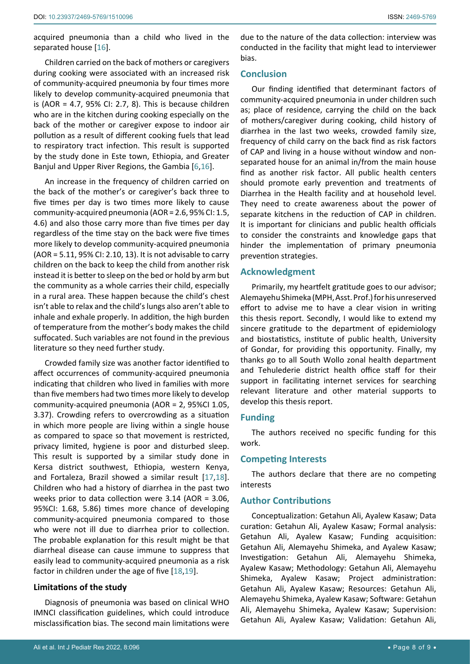acquired pneumonia than a child who lived in the separated house [[16](#page-8-15)].

Children carried on the back of mothers or caregivers during cooking were associated with an increased risk of community-acquired pneumonia by four times more likely to develop community-acquired pneumonia that is (AOR = 4.7, 95% CI: 2.7, 8). This is because children who are in the kitchen during cooking especially on the back of the mother or caregiver expose to indoor air pollution as a result of different cooking fuels that lead to respiratory tract infection. This result is supported by the study done in Este town, Ethiopia, and Greater Banjul and Upper River Regions, the Gambia [[6](#page-8-9)[,16\]](#page-8-15).

An increase in the frequency of children carried on the back of the mother's or caregiver's back three to five times per day is two times more likely to cause community-acquired pneumonia (AOR = 2.6, 95% CI: 1.5, 4.6) and also those carry more than five times per day regardless of the time stay on the back were five times more likely to develop community-acquired pneumonia (AOR = 5.11, 95% CI: 2.10, 13). It is not advisable to carry children on the back to keep the child from another risk instead it is better to sleep on the bed or hold by arm but the community as a whole carries their child, especially in a rural area. These happen because the child's chest isn't able to relax and the child's lungs also aren't able to inhale and exhale properly. In addition, the high burden of temperature from the mother's body makes the child suffocated. Such variables are not found in the previous literature so they need further study.

Crowded family size was another factor identified to affect occurrences of community-acquired pneumonia indicating that children who lived in families with more than five members had two times more likely to develop community-acquired pneumonia (AOR = 2, 95%CI 1.05, 3.37). Crowding refers to overcrowding as a situation in which more people are living within a single house as compared to space so that movement is restricted, privacy limited, hygiene is poor and disturbed sleep. This result is supported by a similar study done in Kersa district southwest, Ethiopia, western Kenya, and Fortaleza, Brazil showed a similar result [[17,](#page-8-16)[18](#page-8-17)]. Children who had a history of diarrhea in the past two weeks prior to data collection were 3.14 (AOR = 3.06, 95%CI: 1.68, 5.86) times more chance of developing community-acquired pneumonia compared to those who were not ill due to diarrhea prior to collection. The probable explanation for this result might be that diarrheal disease can cause immune to suppress that easily lead to community-acquired pneumonia as a risk factor in children under the age of five [[18](#page-8-17),[19](#page-8-18)].

## **Limitations of the study**

Diagnosis of pneumonia was based on clinical WHO IMNCI classification guidelines, which could introduce misclassification bias. The second main limitations were

due to the nature of the data collection: interview was conducted in the facility that might lead to interviewer bias.

# **Conclusion**

Our finding identified that determinant factors of community-acquired pneumonia in under children such as; place of residence, carrying the child on the back of mothers/caregiver during cooking, child history of diarrhea in the last two weeks, crowded family size, frequency of child carry on the back find as risk factors of CAP and living in a house without window and nonseparated house for an animal in/from the main house find as another risk factor. All public health centers should promote early prevention and treatments of Diarrhea in the Health facility and at household level. They need to create awareness about the power of separate kitchens in the reduction of CAP in children. It is important for clinicians and public health officials to consider the constraints and knowledge gaps that hinder the implementation of primary pneumonia prevention strategies.

# **Acknowledgment**

Primarily, my heartfelt gratitude goes to our advisor; Alemayehu Shimeka (MPH, Asst. Prof.) for his unreserved effort to advise me to have a clear vision in writing this thesis report. Secondly, I would like to extend my sincere gratitude to the department of epidemiology and biostatistics, institute of public health, University of Gondar, for providing this opportunity. Finally, my thanks go to all South Wollo zonal health department and Tehulederie district health office staff for their support in facilitating internet services for searching relevant literature and other material supports to develop this thesis report.

## **Funding**

The authors received no specific funding for this work.

# **Competing Interests**

The authors declare that there are no competing interests

# **Author Contributions**

Conceptualization: Getahun Ali, Ayalew Kasaw; Data curation: Getahun Ali, Ayalew Kasaw; Formal analysis: Getahun Ali, Ayalew Kasaw; Funding acquisition: Getahun Ali, Alemayehu Shimeka, and Ayalew Kasaw; Investigation: Getahun Ali, Alemayehu Shimeka, Ayalew Kasaw; Methodology: Getahun Ali, Alemayehu Shimeka, Ayalew Kasaw; Project administration: Getahun Ali, Ayalew Kasaw; Resources: Getahun Ali, Alemayehu Shimeka, Ayalew Kasaw; Software: Getahun Ali, Alemayehu Shimeka, Ayalew Kasaw; Supervision: Getahun Ali, Ayalew Kasaw; Validation: Getahun Ali,